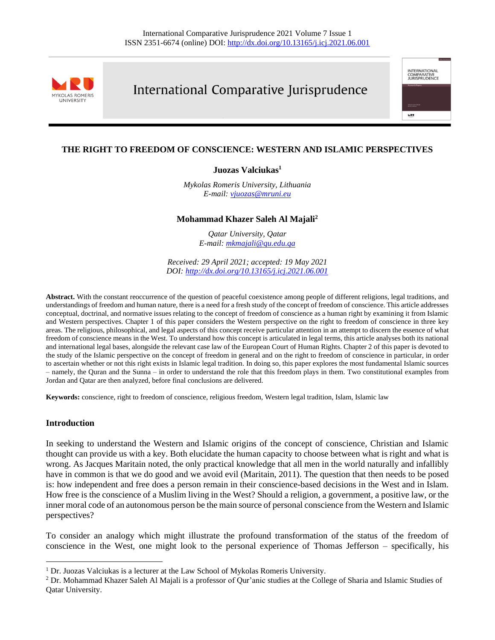

# International Comparative Jurisprudence

international<br>Comparative<br>Jurisprudence

wet

## **THE RIGHT TO FREEDOM OF CONSCIENCE: WESTERN AND ISLAMIC PERSPECTIVES**

## **Juozas Valciukas<sup>1</sup>**

*Mykolas Romeris University, Lithuania E-mail: [vjuozas@mruni.eu](mailto:vjuozas@mruni.eu)*

#### **Mohammad Khazer Saleh Al Majali<sup>2</sup>**

*Qatar University, Qatar E-mail: [mkmajali@qu.edu.qa](mailto:mkmajali@qu.edu.qa)*

*Received: 29 April 2021; accepted: 19 May 2021 DOI[: http://dx.doi.org/10.13165/j.icj.2021.06.001](http://dx.doi.org/10.13165/j.icj.2021.06.001)*

**Abstract.** With the constant reoccurrence of the question of peaceful coexistence among people of different religions, legal traditions, and understandings of freedom and human nature, there is a need for a fresh study of the concept of freedom of conscience. This article addresses conceptual, doctrinal, and normative issues relating to the concept of freedom of conscience as a human right by examining it from Islamic and Western perspectives. Chapter 1 of this paper considers the Western perspective on the right to freedom of conscience in three key areas. The religious, philosophical, and legal aspects of this concept receive particular attention in an attempt to discern the essence of what freedom of conscience means in the West. To understand how this concept is articulated in legal terms, this article analyses both its national and international legal bases, alongside the relevant case law of the European Court of Human Rights. Chapter 2 of this paper is devoted to the study of the Islamic perspective on the concept of freedom in general and on the right to freedom of conscience in particular, in order to ascertain whether or not this right exists in Islamic legal tradition. In doing so, this paper explores the most fundamental Islamic sources – namely, the Quran and the Sunna – in order to understand the role that this freedom plays in them. Two constitutional examples from Jordan and Qatar are then analyzed, before final conclusions are delivered.

**Keywords:** conscience, right to freedom of conscience, religious freedom, Western legal tradition, Islam, Islamic law

#### **Introduction**

In seeking to understand the Western and Islamic origins of the concept of conscience, Christian and Islamic thought can provide us with a key. Both elucidate the human capacity to choose between what is right and what is wrong. As Jacques Maritain noted, the only practical knowledge that all men in the world naturally and infallibly have in common is that we do good and we avoid evil (Maritain, 2011). The question that then needs to be posed is: how independent and free does a person remain in their conscience-based decisions in the West and in Islam. How free is the conscience of a Muslim living in the West? Should a religion, a government, a positive law, or the inner moral code of an autonomous person be the main source of personal conscience from the Western and Islamic perspectives?

To consider an analogy which might illustrate the profound transformation of the status of the freedom of conscience in the West, one might look to the personal experience of Thomas Jefferson – specifically, his

<sup>&</sup>lt;sup>1</sup> Dr. Juozas Valciukas is a lecturer at the Law School of Mykolas Romeris University.

<sup>&</sup>lt;sup>2</sup> Dr. Mohammad Khazer Saleh Al Majali is a professor of Qur'anic studies at the College of Sharia and Islamic Studies of Qatar University.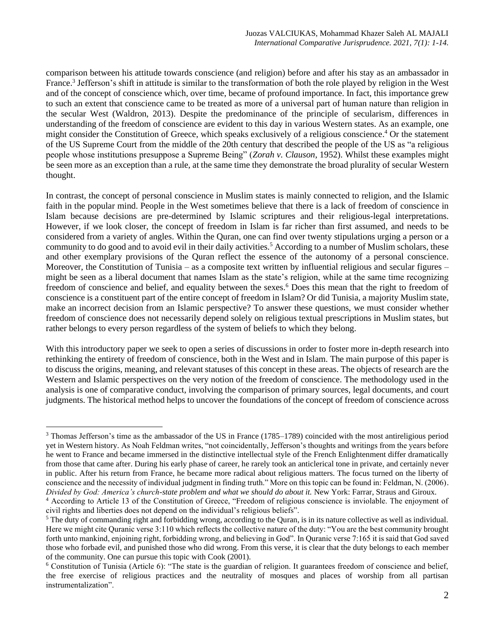comparison between his attitude towards conscience (and religion) before and after his stay as an ambassador in France.<sup>3</sup> Jefferson's shift in attitude is similar to the transformation of both the role played by religion in the West and of the concept of conscience which, over time, became of profound importance. In fact, this importance grew to such an extent that conscience came to be treated as more of a universal part of human nature than religion in the secular West (Waldron, 2013). Despite the predominance of the principle of secularism, differences in understanding of the freedom of conscience are evident to this day in various Western states. As an example, one might consider the Constitution of Greece, which speaks exclusively of a religious conscience. <sup>4</sup> Or the statement of the US Supreme Court from the middle of the 20th century that described the people of the US as "a religious people whose institutions presuppose a Supreme Being" (*Zorah v. Clauson*, 1952). Whilst these examples might be seen more as an exception than a rule, at the same time they demonstrate the broad plurality of secular Western thought.

In contrast, the concept of personal conscience in Muslim states is mainly connected to religion, and the Islamic faith in the popular mind. People in the West sometimes believe that there is a lack of freedom of conscience in Islam because decisions are pre-determined by Islamic scriptures and their religious-legal interpretations. However, if we look closer, the concept of freedom in Islam is far richer than first assumed, and needs to be considered from a variety of angles. Within the Quran, one can find over twenty stipulations urging a person or a community to do good and to avoid evil in their daily activities.<sup>5</sup> According to a number of Muslim scholars, these and other exemplary provisions of the Quran reflect the essence of the autonomy of a personal conscience. Moreover, the Constitution of Tunisia – as a composite text written by influential religious and secular figures – might be seen as a liberal document that names Islam as the state's religion, while at the same time recognizing freedom of conscience and belief, and equality between the sexes.<sup>6</sup> Does this mean that the right to freedom of conscience is a constituent part of the entire concept of freedom in Islam? Or did Tunisia, a majority Muslim state, make an incorrect decision from an Islamic perspective? To answer these questions, we must consider whether freedom of conscience does not necessarily depend solely on religious textual prescriptions in Muslim states, but rather belongs to every person regardless of the system of beliefs to which they belong.

With this introductory paper we seek to open a series of discussions in order to foster more in-depth research into rethinking the entirety of freedom of conscience, both in the West and in Islam. The main purpose of this paper is to discuss the origins, meaning, and relevant statuses of this concept in these areas. The objects of research are the Western and Islamic perspectives on the very notion of the freedom of conscience. The methodology used in the analysis is one of comparative conduct, involving the comparison of primary sources, legal documents, and court judgments. The historical method helps to uncover the foundations of the concept of freedom of conscience across

<sup>3</sup> Thomas Jefferson's time as the ambassador of the US in France (1785–1789) coincided with the most antireligious period yet in Western history. As Noah Feldman writes, "not coincidentally, Jefferson's thoughts and writings from the years before he went to France and became immersed in the distinctive intellectual style of the French Enlightenment differ dramatically from those that came after. During his early phase of career, he rarely took an anticlerical tone in private, and certainly never in public. After his return from France, he became more radical about religious matters. The focus turned on the liberty of conscience and the necessity of individual judgment in finding truth." More on this topic can be found in: Feldman, N. (2006). *Divided by God: America's church-state problem and what we should do about it.* New York: Farrar, Straus and Giroux.

<sup>4</sup> According to Article 13 of the Constitution of Greece, "Freedom of religious conscience is inviolable. The enjoyment of civil rights and liberties does not depend on the individual's religious beliefs".

<sup>&</sup>lt;sup>5</sup> The duty of commanding right and forbidding wrong, according to the Quran, is in its nature collective as well as individual. Here we might cite Quranic verse 3:110 which reflects the collective nature of the duty: "You are the best community brought forth unto mankind, enjoining right, forbidding wrong, and believing in God". In Quranic verse 7:165 it is said that God saved those who forbade evil, and punished those who did wrong. From this verse, it is clear that the duty belongs to each member of the community. One can pursue this topic with Cook (2001).

<sup>6</sup> Constitution of Tunisia (Article 6): "The state is the guardian of religion. It guarantees freedom of conscience and belief, the free exercise of religious practices and the neutrality of mosques and places of worship from all partisan instrumentalization".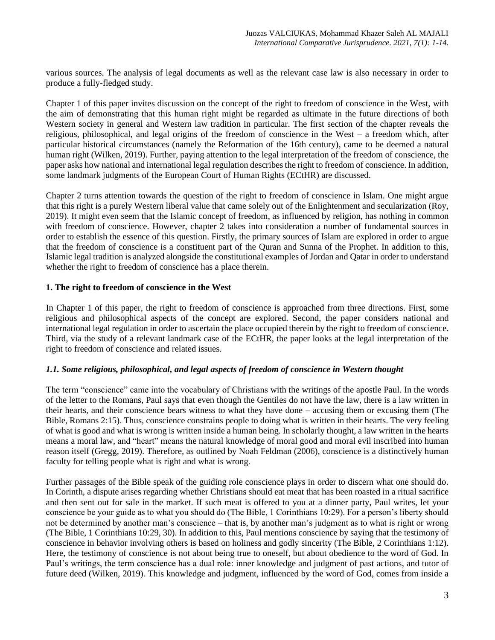various sources. The analysis of legal documents as well as the relevant case law is also necessary in order to produce a fully-fledged study.

Chapter 1 of this paper invites discussion on the concept of the right to freedom of conscience in the West, with the aim of demonstrating that this human right might be regarded as ultimate in the future directions of both Western society in general and Western law tradition in particular. The first section of the chapter reveals the religious, philosophical, and legal origins of the freedom of conscience in the West – a freedom which, after particular historical circumstances (namely the Reformation of the 16th century), came to be deemed a natural human right (Wilken, 2019). Further, paying attention to the legal interpretation of the freedom of conscience, the paper asks how national and international legal regulation describes the right to freedom of conscience. In addition, some landmark judgments of the European Court of Human Rights (ECtHR) are discussed.

Chapter 2 turns attention towards the question of the right to freedom of conscience in Islam. One might argue that this right is a purely Western liberal value that came solely out of the Enlightenment and secularization (Roy, 2019). It might even seem that the Islamic concept of freedom, as influenced by religion, has nothing in common with freedom of conscience. However, chapter 2 takes into consideration a number of fundamental sources in order to establish the essence of this question. Firstly, the primary sources of Islam are explored in order to argue that the freedom of conscience is a constituent part of the Quran and Sunna of the Prophet. In addition to this, Islamic legal tradition is analyzed alongside the constitutional examples of Jordan and Qatar in order to understand whether the right to freedom of conscience has a place therein.

## **1. The right to freedom of conscience in the West**

In Chapter 1 of this paper, the right to freedom of conscience is approached from three directions. First, some religious and philosophical aspects of the concept are explored. Second, the paper considers national and international legal regulation in order to ascertain the place occupied therein by the right to freedom of conscience. Third, via the study of a relevant landmark case of the ECtHR, the paper looks at the legal interpretation of the right to freedom of conscience and related issues.

## *1.1. Some religious, philosophical, and legal aspects of freedom of conscience in Western thought*

The term "conscience" came into the vocabulary of Christians with the writings of the apostle Paul. In the words of the letter to the Romans, Paul says that even though the Gentiles do not have the law, there is a law written in their hearts, and their conscience bears witness to what they have done – accusing them or excusing them (The Bible, Romans 2:15). Thus, conscience constrains people to doing what is written in their hearts. The very feeling of what is good and what is wrong is written inside a human being. In scholarly thought, a law written in the hearts means a moral law, and "heart" means the natural knowledge of moral good and moral evil inscribed into human reason itself (Gregg, 2019). Therefore, as outlined by Noah Feldman (2006), conscience is a distinctively human faculty for telling people what is right and what is wrong.

Further passages of the Bible speak of the guiding role conscience plays in order to discern what one should do. In Corinth, a dispute arises regarding whether Christians should eat meat that has been roasted in a ritual sacrifice and then sent out for sale in the market. If such meat is offered to you at a dinner party, Paul writes, let your conscience be your guide as to what you should do (The Bible, 1 Corinthians 10:29). For a person's liberty should not be determined by another man's conscience – that is, by another man's judgment as to what is right or wrong (The Bible, 1 Corinthians 10:29, 30). In addition to this, Paul mentions conscience by saying that the testimony of conscience in behavior involving others is based on holiness and godly sincerity (The Bible, 2 Corinthians 1:12). Here, the testimony of conscience is not about being true to oneself, but about obedience to the word of God. In Paul's writings, the term conscience has a dual role: inner knowledge and judgment of past actions, and tutor of future deed (Wilken, 2019). This knowledge and judgment, influenced by the word of God, comes from inside a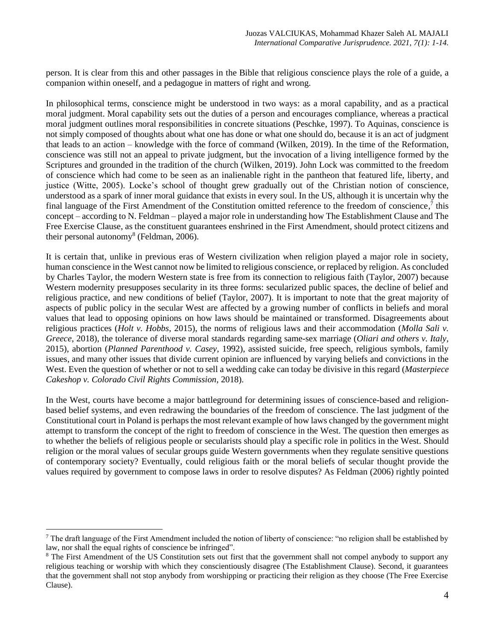person. It is clear from this and other passages in the Bible that religious conscience plays the role of a guide, a companion within oneself, and a pedagogue in matters of right and wrong.

In philosophical terms, conscience might be understood in two ways: as a moral capability, and as a practical moral judgment. Moral capability sets out the duties of a person and encourages compliance, whereas a practical moral judgment outlines moral responsibilities in concrete situations (Peschke, 1997). To Aquinas, conscience is not simply composed of thoughts about what one has done or what one should do, because it is an act of judgment that leads to an action – knowledge with the force of command (Wilken, 2019). In the time of the Reformation, conscience was still not an appeal to private judgment, but the invocation of a living intelligence formed by the Scriptures and grounded in the tradition of the church (Wilken, 2019). John Lock was committed to the freedom of conscience which had come to be seen as an inalienable right in the pantheon that featured life, liberty, and justice (Witte, 2005). Locke's school of thought grew gradually out of the Christian notion of conscience, understood as a spark of inner moral guidance that exists in every soul. In the US, although it is uncertain why the final language of the First Amendment of the Constitution omitted reference to the freedom of conscience,<sup>7</sup> this concept – according to N. Feldman – played a major role in understanding how The Establishment Clause and The Free Exercise Clause, as the constituent guarantees enshrined in the First Amendment, should protect citizens and their personal autonomy<sup>8</sup> (Feldman, 2006).

It is certain that, unlike in previous eras of Western civilization when religion played a major role in society, human conscience in the West cannot now be limited to religious conscience, or replaced by religion. As concluded by Charles Taylor, the modern Western state is free from its connection to religious faith (Taylor, 2007) because Western modernity presupposes secularity in its three forms: secularized public spaces, the decline of belief and religious practice, and new conditions of belief (Taylor, 2007). It is important to note that the great majority of aspects of public policy in the secular West are affected by a growing number of conflicts in beliefs and moral values that lead to opposing opinions on how laws should be maintained or transformed. Disagreements about religious practices (*Holt v. Hobbs*, 2015), the norms of religious laws and their accommodation (*Molla Sali v. Greece*, 2018), the tolerance of diverse moral standards regarding same-sex marriage (*Oliari and others v. Italy*, 2015), abortion (*Planned Parenthood v. Casey*, 1992), assisted suicide, free speech, religious symbols, family issues, and many other issues that divide current opinion are influenced by varying beliefs and convictions in the West. Even the question of whether or not to sell a wedding cake can today be divisive in this regard (*Masterpiece Cakeshop v. Colorado Civil Rights Commission*, 2018).

In the West, courts have become a major battleground for determining issues of conscience-based and religionbased belief systems, and even redrawing the boundaries of the freedom of conscience. The last judgment of the Constitutional court in Poland is perhaps the most relevant example of how laws changed by the government might attempt to transform the concept of the right to freedom of conscience in the West. The question then emerges as to whether the beliefs of religious people or secularists should play a specific role in politics in the West. Should religion or the moral values of secular groups guide Western governments when they regulate sensitive questions of contemporary society? Eventually, could religious faith or the moral beliefs of secular thought provide the values required by government to compose laws in order to resolve disputes? As Feldman (2006) rightly pointed

 $<sup>7</sup>$  The draft language of the First Amendment included the notion of liberty of conscience: "no religion shall be established by</sup> law, nor shall the equal rights of conscience be infringed".

<sup>&</sup>lt;sup>8</sup> The First Amendment of the US Constitution sets out first that the government shall not compel anybody to support any religious teaching or worship with which they conscientiously disagree (The Establishment Clause). Second, it guarantees that the government shall not stop anybody from worshipping or practicing their religion as they choose (The Free Exercise Clause).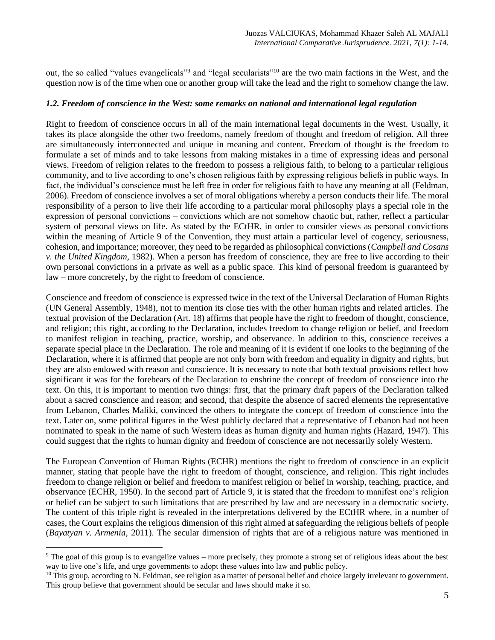out, the so called "values evangelicals"<sup>9</sup> and "legal secularists"<sup>10</sup> are the two main factions in the West, and the question now is of the time when one or another group will take the lead and the right to somehow change the law.

#### *1.2. Freedom of conscience in the West: some remarks on national and international legal regulation*

Right to freedom of conscience occurs in all of the main international legal documents in the West. Usually, it takes its place alongside the other two freedoms, namely freedom of thought and freedom of religion. All three are simultaneously interconnected and unique in meaning and content. Freedom of thought is the freedom to formulate a set of minds and to take lessons from making mistakes in a time of expressing ideas and personal views. Freedom of religion relates to the freedom to possess a religious faith, to belong to a particular religious community, and to live according to one's chosen religious faith by expressing religious beliefs in public ways. In fact, the individual's conscience must be left free in order for religious faith to have any meaning at all (Feldman, 2006). Freedom of conscience involves a set of moral obligations whereby a person conducts their life. The moral responsibility of a person to live their life according to a particular moral philosophy plays a special role in the expression of personal convictions – convictions which are not somehow chaotic but, rather, reflect a particular system of personal views on life. As stated by the ECtHR, in order to consider views as personal convictions within the meaning of Article 9 of the Convention, they must attain a particular level of cogency, seriousness, cohesion, and importance; moreover, they need to be regarded as philosophical convictions (*Campbell and Cosans v. the United Kingdom*, 1982). When a person has freedom of conscience, they are free to live according to their own personal convictions in a private as well as a public space. This kind of personal freedom is guaranteed by law – more concretely, by the right to freedom of conscience.

Conscience and freedom of conscience is expressed twice in the text of the Universal Declaration of Human Rights (UN General Assembly, 1948), not to mention its close ties with the other human rights and related articles. The textual provision of the Declaration (Art. 18) affirms that people have the right to freedom of thought, conscience, and religion; this right, according to the Declaration, includes freedom to change religion or belief, and freedom to manifest religion in teaching, practice, worship, and observance. In addition to this, conscience receives a separate special place in the Declaration. The role and meaning of it is evident if one looks to the beginning of the Declaration, where it is affirmed that people are not only born with freedom and equality in dignity and rights, but they are also endowed with reason and conscience. It is necessary to note that both textual provisions reflect how significant it was for the forebears of the Declaration to enshrine the concept of freedom of conscience into the text. On this, it is important to mention two things: first, that the primary draft papers of the Declaration talked about a sacred conscience and reason; and second, that despite the absence of sacred elements the representative from Lebanon, Charles Maliki, convinced the others to integrate the concept of freedom of conscience into the text. Later on, some political figures in the West publicly declared that a representative of Lebanon had not been nominated to speak in the name of such Western ideas as human dignity and human rights (Hazard, 1947). This could suggest that the rights to human dignity and freedom of conscience are not necessarily solely Western.

The European Convention of Human Rights (ECHR) mentions the right to freedom of conscience in an explicit manner, stating that people have the right to freedom of thought, conscience, and religion. This right includes freedom to change religion or belief and freedom to manifest religion or belief in worship, teaching, practice, and observance (ECHR, 1950). In the second part of Article 9, it is stated that the freedom to manifest one's religion or belief can be subject to such limitations that are prescribed by law and are necessary in a democratic society. The content of this triple right is revealed in the interpretations delivered by the ECtHR where, in a number of cases, the Court explains the religious dimension of this right aimed at safeguarding the religious beliefs of people (*Bayatyan v. Armenia*, 2011). The secular dimension of rights that are of a religious nature was mentioned in

<sup>&</sup>lt;sup>9</sup> The goal of this group is to evangelize values – more precisely, they promote a strong set of religious ideas about the best way to live one's life, and urge governments to adopt these values into law and public policy.

 $10$  This group, according to N. Feldman, see religion as a matter of personal belief and choice largely irrelevant to government. This group believe that government should be secular and laws should make it so.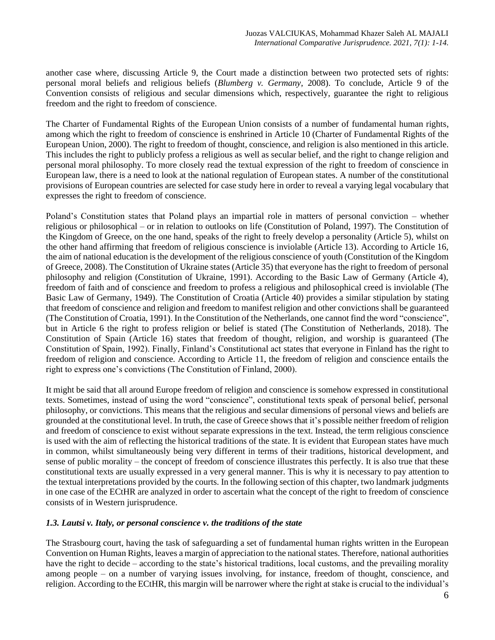another case where, discussing Article 9, the Court made a distinction between two protected sets of rights: personal moral beliefs and religious beliefs (*Blumberg v. Germany*, 2008). To conclude, Article 9 of the Convention consists of religious and secular dimensions which, respectively, guarantee the right to religious freedom and the right to freedom of conscience.

The Charter of Fundamental Rights of the European Union consists of a number of fundamental human rights, among which the right to freedom of conscience is enshrined in Article 10 (Charter of Fundamental Rights of the European Union, 2000). The right to freedom of thought, conscience, and religion is also mentioned in this article. This includes the right to publicly profess a religious as well as secular belief, and the right to change religion and personal moral philosophy. To more closely read the textual expression of the right to freedom of conscience in European law, there is a need to look at the national regulation of European states. A number of the constitutional provisions of European countries are selected for case study here in order to reveal a varying legal vocabulary that expresses the right to freedom of conscience.

Poland's Constitution states that Poland plays an impartial role in matters of personal conviction – whether religious or philosophical – or in relation to outlooks on life (Constitution of Poland, 1997). The Constitution of the Kingdom of Greece, on the one hand, speaks of the right to freely develop a personality (Article 5), whilst on the other hand affirming that freedom of religious conscience is inviolable (Article 13). According to Article 16, the aim of national education is the development of the religious conscience of youth (Constitution of the Kingdom of Greece, 2008). The Constitution of Ukraine states (Article 35) that everyone has the right to freedom of personal philosophy and religion (Constitution of Ukraine, 1991). According to the Basic Law of Germany (Article 4), freedom of faith and of conscience and freedom to profess a religious and philosophical creed is inviolable (The Basic Law of Germany, 1949). The Constitution of Croatia (Article 40) provides a similar stipulation by stating that freedom of conscience and religion and freedom to manifest religion and other convictions shall be guaranteed (The Constitution of Croatia, 1991). In the Constitution of the Netherlands, one cannot find the word "conscience", but in Article 6 the right to profess religion or belief is stated (The Constitution of Netherlands, 2018). The Constitution of Spain (Article 16) states that freedom of thought, religion, and worship is guaranteed (The Constitution of Spain, 1992). Finally, Finland's Constitutional act states that everyone in Finland has the right to freedom of religion and conscience. According to Article 11, the freedom of religion and conscience entails the right to express one's convictions (The Constitution of Finland, 2000).

It might be said that all around Europe freedom of religion and conscience is somehow expressed in constitutional texts. Sometimes, instead of using the word "conscience", constitutional texts speak of personal belief, personal philosophy, or convictions. This means that the religious and secular dimensions of personal views and beliefs are grounded at the constitutional level. In truth, the case of Greece shows that it's possible neither freedom of religion and freedom of conscience to exist without separate expressions in the text. Instead, the term religious conscience is used with the aim of reflecting the historical traditions of the state. It is evident that European states have much in common, whilst simultaneously being very different in terms of their traditions, historical development, and sense of public morality – the concept of freedom of conscience illustrates this perfectly. It is also true that these constitutional texts are usually expressed in a very general manner. This is why it is necessary to pay attention to the textual interpretations provided by the courts. In the following section of this chapter, two landmark judgments in one case of the ECtHR are analyzed in order to ascertain what the concept of the right to freedom of conscience consists of in Western jurisprudence.

## *1.3. Lautsi v. Italy, or personal conscience v. the traditions of the state*

The Strasbourg court, having the task of safeguarding a set of fundamental human rights written in the European Convention on Human Rights, leaves a margin of appreciation to the national states. Therefore, national authorities have the right to decide – according to the state's historical traditions, local customs, and the prevailing morality among people – on a number of varying issues involving, for instance, freedom of thought, conscience, and religion. According to the ECtHR, this margin will be narrower where the right at stake is crucial to the individual's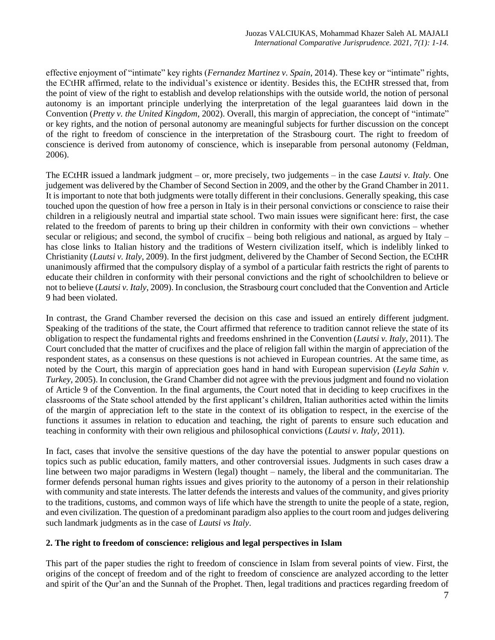effective enjoyment of "intimate" key rights (*Fernandez Martinez v. Spain*, 2014). These key or "intimate" rights, the ECtHR affirmed, relate to the individual's existence or identity. Besides this, the ECtHR stressed that, from the point of view of the right to establish and develop relationships with the outside world, the notion of personal autonomy is an important principle underlying the interpretation of the legal guarantees laid down in the Convention (*Pretty v. the United Kingdom*, 2002). Overall, this margin of appreciation, the concept of "intimate" or key rights, and the notion of personal autonomy are meaningful subjects for further discussion on the concept of the right to freedom of conscience in the interpretation of the Strasbourg court. The right to freedom of conscience is derived from autonomy of conscience, which is inseparable from personal autonomy (Feldman, 2006).

The ECtHR issued a landmark judgment – or, more precisely, two judgements – in the case *Lautsi v. Italy.* One judgement was delivered by the Chamber of Second Section in 2009, and the other by the Grand Chamber in 2011. It is important to note that both judgments were totally different in their conclusions. Generally speaking, this case touched upon the question of how free a person in Italy is in their personal convictions or conscience to raise their children in a religiously neutral and impartial state school. Two main issues were significant here: first, the case related to the freedom of parents to bring up their children in conformity with their own convictions – whether secular or religious; and second, the symbol of crucifix – being both religious and national, as argued by Italy – has close links to Italian history and the traditions of Western civilization itself, which is indelibly linked to Christianity (*Lautsi v. Italy*, 2009). In the first judgment, delivered by the Chamber of Second Section, the ECtHR unanimously affirmed that the compulsory display of a symbol of a particular faith restricts the right of parents to educate their children in conformity with their personal convictions and the right of schoolchildren to believe or not to believe (*Lautsi v. Italy*, 2009). In conclusion, the Strasbourg court concluded that the Convention and Article 9 had been violated.

In contrast, the Grand Chamber reversed the decision on this case and issued an entirely different judgment. Speaking of the traditions of the state, the Court affirmed that reference to tradition cannot relieve the state of its obligation to respect the fundamental rights and freedoms enshrined in the Convention (*Lautsi v. Italy*, 2011). The Court concluded that the matter of crucifixes and the place of religion fall within the margin of appreciation of the respondent states, as a consensus on these questions is not achieved in European countries. At the same time, as noted by the Court, this margin of appreciation goes hand in hand with European supervision (*Leyla Sahin v. Turkey*, 2005). In conclusion, the Grand Chamber did not agree with the previous judgment and found no violation of Article 9 of the Convention. In the final arguments, the Court noted that in deciding to keep crucifixes in the classrooms of the State school attended by the first applicant's children, Italian authorities acted within the limits of the margin of appreciation left to the state in the context of its obligation to respect, in the exercise of the functions it assumes in relation to education and teaching, the right of parents to ensure such education and teaching in conformity with their own religious and philosophical convictions (*Lautsi v. Italy*, 2011).

In fact, cases that involve the sensitive questions of the day have the potential to answer popular questions on topics such as public education, family matters, and other controversial issues. Judgments in such cases draw a line between two major paradigms in Western (legal) thought – namely, the liberal and the communitarian. The former defends personal human rights issues and gives priority to the autonomy of a person in their relationship with community and state interests. The latter defends the interests and values of the community, and gives priority to the traditions, customs, and common ways of life which have the strength to unite the people of a state, region, and even civilization. The question of a predominant paradigm also applies to the court room and judges delivering such landmark judgments as in the case of *Lautsi vs Italy*.

## **2. The right to freedom of conscience: religious and legal perspectives in Islam**

This part of the paper studies the right to freedom of conscience in Islam from several points of view. First, the origins of the concept of freedom and of the right to freedom of conscience are analyzed according to the letter and spirit of the Qur'an and the Sunnah of the Prophet. Then, legal traditions and practices regarding freedom of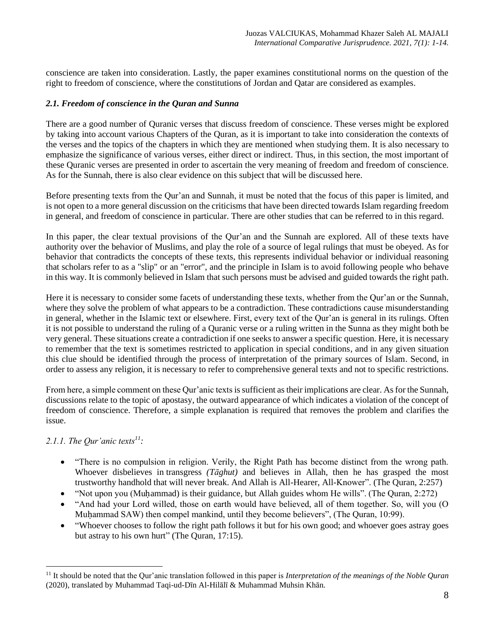conscience are taken into consideration. Lastly, the paper examines constitutional norms on the question of the right to freedom of conscience, where the constitutions of Jordan and Qatar are considered as examples.

## *2.1. Freedom of conscience in the Quran and Sunna*

There are a good number of Quranic verses that discuss freedom of conscience. These verses might be explored by taking into account various Chapters of the Quran, as it is important to take into consideration the contexts of the verses and the topics of the chapters in which they are mentioned when studying them. It is also necessary to emphasize the significance of various verses, either direct or indirect. Thus, in this section, the most important of these Quranic verses are presented in order to ascertain the very meaning of freedom and freedom of conscience. As for the Sunnah, there is also clear evidence on this subject that will be discussed here.

Before presenting texts from the Qur'an and Sunnah, it must be noted that the focus of this paper is limited, and is not open to a more general discussion on the criticisms that have been directed towards Islam regarding freedom in general, and freedom of conscience in particular. There are other studies that can be referred to in this regard.

In this paper, the clear textual provisions of the Qur'an and the Sunnah are explored. All of these texts have authority over the behavior of Muslims, and play the role of a source of legal rulings that must be obeyed. As for behavior that contradicts the concepts of these texts, this represents individual behavior or individual reasoning that scholars refer to as a "slip" or an "error", and the principle in Islam is to avoid following people who behave in this way. It is commonly believed in Islam that such persons must be advised and guided towards the right path.

Here it is necessary to consider some facets of understanding these texts, whether from the Qur'an or the Sunnah, where they solve the problem of what appears to be a contradiction. These contradictions cause misunderstanding in general, whether in the Islamic text or elsewhere. First, every text of the Qur'an is general in its rulings. Often it is not possible to understand the ruling of a Quranic verse or a ruling written in the Sunna as they might both be very general. These situations create a contradiction if one seeks to answer a specific question. Here, it is necessary to remember that the text is sometimes restricted to application in special conditions, and in any given situation this clue should be identified through the process of interpretation of the primary sources of Islam. Second, in order to assess any religion, it is necessary to refer to comprehensive general texts and not to specific restrictions.

From here, a simple comment on these Qur'anic texts is sufficient as their implications are clear. As for the Sunnah, discussions relate to the topic of apostasy, the outward appearance of which indicates a violation of the concept of freedom of conscience. Therefore, a simple explanation is required that removes the problem and clarifies the issue.

## *2.1.1. The Qur'anic texts<sup>11</sup>:*

- "There is no compulsion in religion. Verily, the Right Path has become distinct from the wrong path. Whoever disbelieves in transgress *(Tāghut)* and believes in Allah, then he has grasped the most trustworthy handhold that will never break. And Allah is All-Hearer, All-Knower". (The Quran, [2:257\)](http://tilaw.at/2:257)
- "Not upon you (Muḥammad) is their guidance, but Allah guides whom He wills". (The Quran, 2:272)
- "And had your Lord willed, those on earth would have believed, all of them together. So, will you (O Muḥammad SAW) then compel mankind, until they become believers", (The Quran, 10:99).
- "Whoever chooses to follow the right path follows it but for his own good; and whoever goes astray goes but astray to his own hurt" (The Quran, 17:15).

<sup>11</sup> It should be noted that the Qur'anic translation followed in this paper is *Interpretation of the meanings of the Noble Quran* (2020), translated by Muhammad Taqi-ud-Dīn Al-Hilālī & Muhammad Muhsin Khān.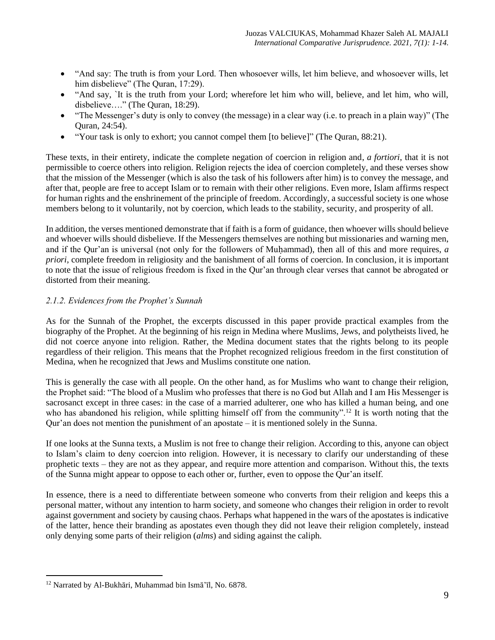- "And say: The truth is from your Lord. Then whosoever wills, let him believe, and whosoever wills, let him disbelieve" (The Quran, 17:29).
- "And say, `It is the truth from your Lord; wherefore let him who will, believe, and let him, who will, disbelieve…." (The Quran, [18:29\)](http://tilaw.at/18:30).
- "The Messenger's duty is only to convey (the message) in a clear way (i.e. to preach in a plain way)" (The Quran, 24:54).
- "Your task is only to exhort; you cannot compel them [to believe]" (The Quran, 88:21).

These texts, in their entirety, indicate the complete negation of coercion in religion and, *a fortiori*, that it is not permissible to coerce others into religion. Religion rejects the idea of coercion completely, and these verses show that the mission of the Messenger (which is also the task of his followers after him) is to convey the message, and after that, people are free to accept Islam or to remain with their other religions. Even more, Islam affirms respect for human rights and the enshrinement of the principle of freedom. Accordingly, a successful society is one whose members belong to it voluntarily, not by coercion, which leads to the stability, security, and prosperity of all.

In addition, the verses mentioned demonstrate that if faith is a form of guidance, then whoever wills should believe and whoever wills should disbelieve. If the Messengers themselves are nothing but missionaries and warning men, and if the Our'an is universal (not only for the followers of Muhammad), then all of this and more requires, *a priori*, complete freedom in religiosity and the banishment of all forms of coercion. In conclusion, it is important to note that the issue of religious freedom is fixed in the Qur'an through clear verses that cannot be abrogated or distorted from their meaning.

# *2.1.2. Evidences from the Prophet's Sunnah*

As for the Sunnah of the Prophet, the excerpts discussed in this paper provide practical examples from the biography of the Prophet. At the beginning of his reign in Medina where Muslims, Jews, and polytheists lived, he did not coerce anyone into religion. Rather, the Medina document states that the rights belong to its people regardless of their religion. This means that the Prophet recognized religious freedom in the first constitution of Medina, when he recognized that Jews and Muslims constitute one nation.

This is generally the case with all people. On the other hand, as for Muslims who want to change their religion, the Prophet said: "The blood of a Muslim who professes that there is no God but Allah and I am His Messenger is sacrosanct except in three cases: in the case of a married adulterer, one who has killed a human being, and one who has abandoned his religion, while splitting himself off from the community".<sup>12</sup> It is worth noting that the Qur'an does not mention the punishment of an apostate – it is mentioned solely in the Sunna.

If one looks at the Sunna texts, a Muslim is not free to change their religion. According to this, anyone can object to Islam's claim to deny coercion into religion. However, it is necessary to clarify our understanding of these prophetic texts – they are not as they appear, and require more attention and comparison. Without this, the texts of the Sunna might appear to oppose to each other or, further, even to oppose the Qur'an itself.

In essence, there is a need to differentiate between someone who converts from their religion and keeps this a personal matter, without any intention to harm society, and someone who changes their religion in order to revolt against government and society by causing chaos. Perhaps what happened in the wars of the apostates is indicative of the latter, hence their branding as apostates even though they did not leave their religion completely, instead only denying some parts of their religion (*alms*) and siding against the caliph.

<sup>12</sup> Narrated by Al-Bukhāri, Muhammad bin Ismā'īl, No. 6878.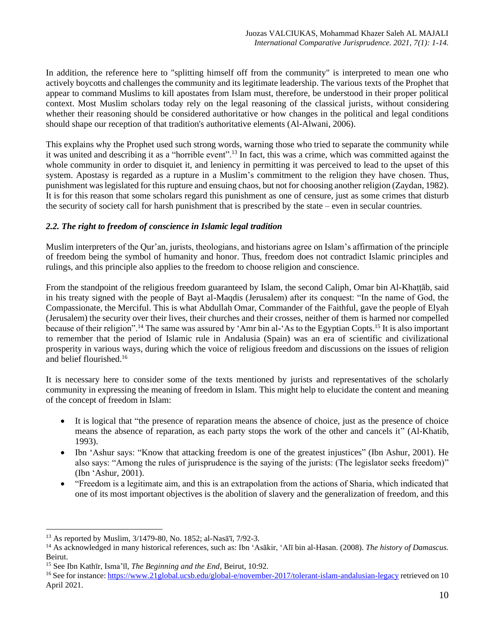In addition, the reference here to "splitting himself off from the community" is interpreted to mean one who actively boycotts and challenges the community and its legitimate leadership. The various texts of the Prophet that appear to command Muslims to kill apostates from Islam must, therefore, be understood in their proper political context. Most Muslim scholars today rely on the legal reasoning of the classical jurists, without considering whether their reasoning should be considered authoritative or how changes in the political and legal conditions should shape our reception of that tradition's authoritative elements (Al-Alwani, 2006).

This explains why the Prophet used such strong words, warning those who tried to separate the community while it was united and describing it as a "horrible event".<sup>13</sup> In fact, this was a crime, which was committed against the whole community in order to disquiet it, and leniency in permitting it was perceived to lead to the upset of this system. Apostasy is regarded as a rupture in a Muslim's commitment to the religion they have chosen. Thus, punishment was legislated for this rupture and ensuing chaos, but not for choosing another religion (Zaydan, 1982). It is for this reason that some scholars regard this punishment as one of censure, just as some crimes that disturb the security of society call for harsh punishment that is prescribed by the state – even in secular countries.

## *2.2. The right to freedom of conscience in Islamic legal tradition*

Muslim interpreters of the Qur'an, jurists, theologians, and historians agree on Islam's affirmation of the principle of freedom being the symbol of humanity and honor. Thus, freedom does not contradict Islamic principles and rulings, and this principle also applies to the freedom to choose religion and conscience.

From the standpoint of the religious freedom guaranteed by Islam, the second Caliph, Omar bin Al-Khaṭṭāb, said in his treaty signed with the people of Bayt al-Maqdis (Jerusalem) after its conquest: "In the name of God, the Compassionate, the Merciful. This is what Abdullah Omar, Commander of the Faithful, gave the people of Elyah (Jerusalem) the security over their lives, their churches and their crosses, neither of them is harmed nor compelled because of their religion".<sup>14</sup> The same was assured by 'Amr bin al-'As to the Egyptian Copts.<sup>15</sup> It is also important to remember that the period of Islamic rule in Andalusia (Spain) was an era of scientific and civilizational prosperity in various ways, during which the voice of religious freedom and discussions on the issues of religion and belief flourished. 16

It is necessary here to consider some of the texts mentioned by jurists and representatives of the scholarly community in expressing the meaning of freedom in Islam. This might help to elucidate the content and meaning of the concept of freedom in Islam:

- It is logical that "the presence of reparation means the absence of choice, just as the presence of choice means the absence of reparation, as each party stops the work of the other and cancels it" (Al-Khatib, 1993).
- Ibn 'Ashur says: "Know that attacking freedom is one of the greatest injustices" (Ibn Ashur, 2001). He also says: "Among the rules of jurisprudence is the saying of the jurists: (The legislator seeks freedom)" (Ibn 'Ashur, 2001).
- "Freedom is a legitimate aim, and this is an extrapolation from the actions of Sharia, which indicated that one of its most important objectives is the abolition of slavery and the generalization of freedom, and this

<sup>13</sup> As reported by Muslim, 3/1479-80, No. 1852; al-Nasā'ī, 7/92-3.

<sup>14</sup> As acknowledged in many historical references, such as: Ibn 'Asākir, 'Alī bin al-Hasan. (2008). *The history of Damascus.* Beirut.

<sup>15</sup> See Ibn Kathīr, Isma'īl, *The Beginning and the End*, Beirut, 10:92.

<sup>16</sup> See for instance[: https://www.21global.ucsb.edu/global-e/november-2017/tolerant-islam-andalusian-legacy](https://www.21global.ucsb.edu/global-e/november-2017/tolerant-islam-andalusian-legacy) retrieved on 10 April 2021.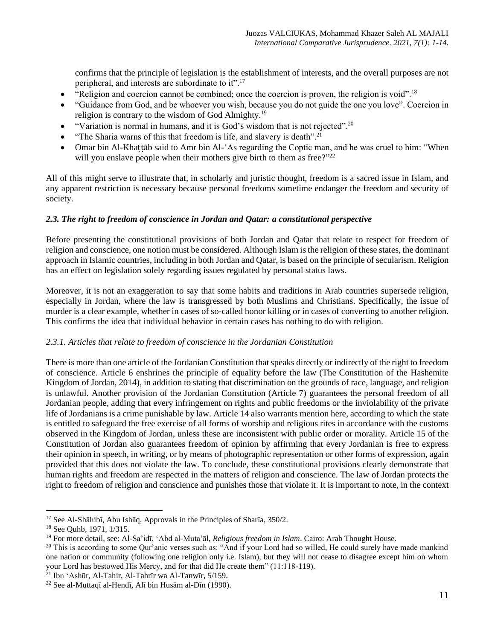confirms that the principle of legislation is the establishment of interests, and the overall purposes are not peripheral, and interests are subordinate to it".<sup>17</sup>

- "Religion and coercion cannot be combined; once the coercion is proven, the religion is void".<sup>18</sup>
- "Guidance from God, and be whoever you wish, because you do not guide the one you love". Coercion in religion is contrary to the wisdom of God Almighty.<sup>19</sup>
- "Variation is normal in humans, and it is God's wisdom that is not rejected".<sup>20</sup>
- "The Sharia warns of this that freedom is life, and slavery is death".<sup>21</sup>
- Omar bin Al-Khaṭṭāb said to Amr bin Al-'As regarding the Coptic man, and he was cruel to him: "When will you enslave people when their mothers give birth to them as free?"<sup>22</sup>

All of this might serve to illustrate that, in scholarly and juristic thought, freedom is a sacred issue in Islam, and any apparent restriction is necessary because personal freedoms sometime endanger the freedom and security of society.

# *2.3. The right to freedom of conscience in Jordan and Qatar: a constitutional perspective*

Before presenting the constitutional provisions of both Jordan and Qatar that relate to respect for freedom of religion and conscience, one notion must be considered. Although Islam is the religion of these states, the dominant approach in Islamic countries, including in both Jordan and Qatar, is based on the principle of secularism. Religion has an effect on legislation solely regarding issues regulated by personal status laws.

Moreover, it is not an exaggeration to say that some habits and traditions in Arab countries supersede religion, especially in Jordan, where the law is transgressed by both Muslims and Christians. Specifically, the issue of murder is a clear example, whether in cases of so-called honor killing or in cases of converting to another religion. This confirms the idea that individual behavior in certain cases has nothing to do with religion.

## *2.3.1. Articles that relate to freedom of conscience in the Jordanian Constitution*

There is more than one article of the Jordanian Constitution that speaks directly or indirectly of the right to freedom of conscience. Article 6 enshrines the principle of equality before the law (The Constitution of the Hashemite Kingdom of Jordan, 2014), in addition to stating that discrimination on the grounds of race, language, and religion is unlawful. Another provision of the Jordanian Constitution (Article 7) guarantees the personal freedom of all Jordanian people, adding that every infringement on rights and public freedoms or the inviolability of the private life of Jordanians is a crime punishable by law. Article 14 also warrants mention here, according to which the state is entitled to safeguard the free exercise of all forms of worship and religious rites in accordance with the customs observed in the Kingdom of Jordan, unless these are inconsistent with public order or morality. Article 15 of the Constitution of Jordan also guarantees freedom of opinion by affirming that every Jordanian is free to express their opinion in speech, in writing, or by means of photographic representation or other forms of expression, again provided that this does not violate the law. To conclude, these constitutional provisions clearly demonstrate that human rights and freedom are respected in the matters of religion and conscience. The law of Jordan protects the right to freedom of religion and conscience and punishes those that violate it. It is important to note, in the context

<sup>17</sup> See Al-Shāhibī, Abu Ishāq, Approvals in the Principles of Sharīa, 350/2.

<sup>18</sup> See Quhb, 1971, 1/315.

<sup>19</sup> For more detail, see: Al-Sa'idī, 'Abd al-Muta'āl, *Religious freedom in Islam*. Cairo: Arab Thought House.

 $20$  This is according to some Qur'anic verses such as: "And if your Lord had so willed, He could surely have made mankind one nation or community (following one religion only i.e. Islam), but they will not cease to disagree except him on whom your Lord has bestowed His Mercy, and for that did He create them" (11:118-119).

<sup>21</sup> Ibn 'Ashūr, Al-Tahir, Al-Tahrīr wa Al-Tanwīr, 5/159.

<sup>22</sup> See al-Muttaqī al-Hendī, Alī bin Husām al-Dīn (1990).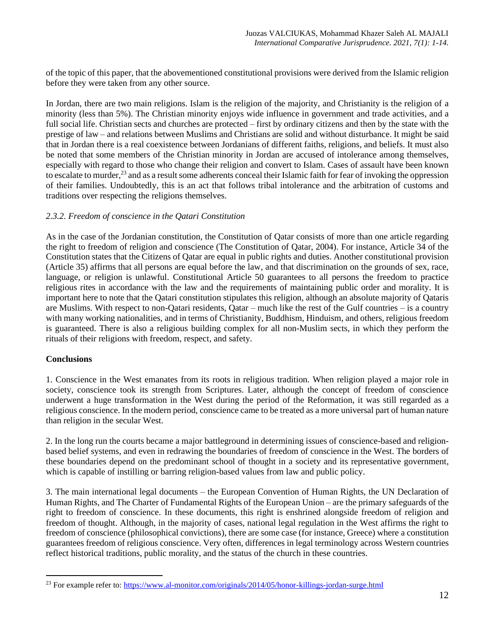of the topic of this paper, that the abovementioned constitutional provisions were derived from the Islamic religion before they were taken from any other source.

In Jordan, there are two main religions. Islam is the religion of the majority, and Christianity is the religion of a minority (less than 5%). The Christian minority enjoys wide influence in government and trade activities, and a full social life. Christian sects and churches are protected – first by ordinary citizens and then by the state with the prestige of law – and relations between Muslims and Christians are solid and without disturbance. It might be said that in Jordan there is a real coexistence between Jordanians of different faiths, religions, and beliefs. It must also be noted that some members of the Christian minority in Jordan are accused of intolerance among themselves, especially with regard to those who change their religion and convert to Islam. Cases of assault have been known to escalate to murder,<sup>23</sup> and as a result some adherents conceal their Islamic faith for fear of invoking the oppression of their families. Undoubtedly, this is an act that follows tribal intolerance and the arbitration of customs and traditions over respecting the religions themselves.

## *2.3.2. Freedom of conscience in the Qatari Constitution*

As in the case of the Jordanian constitution, the Constitution of Qatar consists of more than one article regarding the right to freedom of religion and conscience (The Constitution of Qatar, 2004). For instance, Article 34 of the Constitution states that the Citizens of Qatar are equal in public rights and duties. Another constitutional provision (Article 35) affirms that all persons are equal before the law, and that discrimination on the grounds of sex, race, language, or religion is unlawful. Constitutional Article 50 guarantees to all persons the freedom to practice religious rites in accordance with the law and the requirements of maintaining public order and morality. It is important here to note that the Qatari constitution stipulates this religion, although an absolute majority of Qataris are Muslims. With respect to non-Qatari residents, Qatar – much like the rest of the Gulf countries – is a country with many working nationalities, and in terms of Christianity, Buddhism, Hinduism, and others, religious freedom is guaranteed. There is also a religious building complex for all non-Muslim sects, in which they perform the rituals of their religions with freedom, respect, and safety.

## **Conclusions**

1. Conscience in the West emanates from its roots in religious tradition. When religion played a major role in society, conscience took its strength from Scriptures. Later, although the concept of freedom of conscience underwent a huge transformation in the West during the period of the Reformation, it was still regarded as a religious conscience. In the modern period, conscience came to be treated as a more universal part of human nature than religion in the secular West.

2. In the long run the courts became a major battleground in determining issues of conscience-based and religionbased belief systems, and even in redrawing the boundaries of freedom of conscience in the West. The borders of these boundaries depend on the predominant school of thought in a society and its representative government, which is capable of instilling or barring religion-based values from law and public policy.

3. The main international legal documents – the European Convention of Human Rights, the UN Declaration of Human Rights, and The Charter of Fundamental Rights of the European Union – are the primary safeguards of the right to freedom of conscience. In these documents, this right is enshrined alongside freedom of religion and freedom of thought. Although, in the majority of cases, national legal regulation in the West affirms the right to freedom of conscience (philosophical convictions), there are some case (for instance, Greece) where a constitution guarantees freedom of religious conscience. Very often, differences in legal terminology across Western countries reflect historical traditions, public morality, and the status of the church in these countries.

<sup>&</sup>lt;sup>23</sup> For example refer to:<https://www.al-monitor.com/originals/2014/05/honor-killings-jordan-surge.html>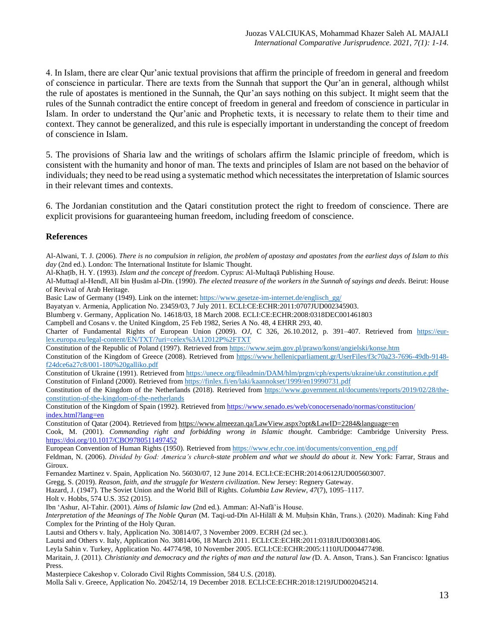4. In Islam, there are clear Qur'anic textual provisions that affirm the principle of freedom in general and freedom of conscience in particular. There are texts from the Sunnah that support the Qur'an in general, although whilst the rule of apostates is mentioned in the Sunnah, the Qur'an says nothing on this subject. It might seem that the rules of the Sunnah contradict the entire concept of freedom in general and freedom of conscience in particular in Islam. In order to understand the Qur'anic and Prophetic texts, it is necessary to relate them to their time and context. They cannot be generalized, and this rule is especially important in understanding the concept of freedom of conscience in Islam.

5. The provisions of Sharia law and the writings of scholars affirm the Islamic principle of freedom, which is consistent with the humanity and honor of man. The texts and principles of Islam are not based on the behavior of individuals; they need to be read using a systematic method which necessitates the interpretation of Islamic sources in their relevant times and contexts.

6. The Jordanian constitution and the Qatari constitution protect the right to freedom of conscience. There are explicit provisions for guaranteeing human freedom, including freedom of conscience.

#### **References**

Al-Alwani, T. J. (2006). *There is no compulsion in religion, the problem of apostasy and apostates from the earliest days of Islam to this day* (2nd ed.). London: The International Institute for Islamic Thought.

Al-Khaṭīb, H. Y. (1993). *Islam and the concept of freedom*. Cyprus: Al-Multaqā Publishing House.

Al-Muttaqī al-Hendī, Alī bin Ḥusām al-Dīn. (1990). *The elected treasure of the workers in the Sunnah of sayings and deeds*. Beirut: House of Revival of Arab Heritage.

Basic Law of Germany (1949). Link on the internet: [https://www.gesetze-im-internet.de/englisch\\_gg/](https://www.gesetze-im-internet.de/englisch_gg/)

Bayatyan v. Armenia, Application No. 23459/03, 7 July 2011. ECLI:CE:ECHR:2011:0707JUD002345903.

Blumberg v. Germany, Application No. 14618/03, 18 March 2008. ECLI:CE:ECHR:2008:0318DEC001461803

Campbell and Cosans v. the United Kingdom, 25 Feb 1982, Series A No. 48, 4 EHRR 293, 40.

Charter of Fundamental Rights of European Union (2009). *OJ*, C 326, 26.10.2012, p. 391–407. Retrieved from [https://eur](https://eur-lex.europa.eu/legal-content/EN/TXT/?uri=celex%3A12012P%2FTXT)[lex.europa.eu/legal-content/EN/TXT/?uri=celex%3A12012P%2FTXT](https://eur-lex.europa.eu/legal-content/EN/TXT/?uri=celex%3A12012P%2FTXT)

Constitution of the Republic of Poland (1997). Retrieved from<https://www.sejm.gov.pl/prawo/konst/angielski/konse.htm>

Constitution of the Kingdom of Greece (2008). Retrieved from [https://www.hellenicparliament.gr/UserFiles/f3c70a23-7696-49db-9148](https://www.hellenicparliament.gr/UserFiles/f3c70a23-7696-49db-9148-f24dce6a27c8/001-180%20galliko.pdf) [f24dce6a27c8/001-180%20galliko.pdf](https://www.hellenicparliament.gr/UserFiles/f3c70a23-7696-49db-9148-f24dce6a27c8/001-180%20galliko.pdf)

Constitution of Ukraine (1991). Retrieved fro[m https://unece.org/fileadmin/DAM/hlm/prgm/cph/experts/ukraine/ukr.constitution.e.pdf](https://unece.org/fileadmin/DAM/hlm/prgm/cph/experts/ukraine/ukr.constitution.e.pdf) Constitution of Finland (2000). Retrieved from https://finlex.fi/en/laki/kaannokset/1999/en19990731.pdf

Constitution of the Kingdom of the Netherlands (2018). Retrieved from [https://www.government.nl/documents/reports/2019/02/28/the](https://www.government.nl/documents/reports/2019/02/28/the-constitution-of-the-kingdom-of-the-netherlands)[constitution-of-the-kingdom-of-the-netherlands](https://www.government.nl/documents/reports/2019/02/28/the-constitution-of-the-kingdom-of-the-netherlands)

Constitution of the Kingdom of Spain (1992). Retrieved from [https://www.senado.es/web/conocersenado/normas/constitucion/](https://www.senado.es/web/conocersenado/normas/constitucion/index.html?lang=en) [index.html?lang=en](https://www.senado.es/web/conocersenado/normas/constitucion/index.html?lang=en)

Constitution of Qatar (2004). Retrieved from<https://www.almeezan.qa/LawView.aspx?opt&LawID=2284&language=en>

Cook, M. (2001). *Commanding right and forbidding wrong in Islamic thought*. Cambridge: Cambridge University Press. <https://doi.org/10.1017/CBO9780511497452>

European Convention of Human Rights (1950). Retrieved fro[m https://www.echr.coe.int/documents/convention\\_eng.pdf](https://www.echr.coe.int/documents/convention_eng.pdf)

Feldman, N. (2006). *Divided by God: America's church-state problem and what we should do about it*. New York: Farrar, Straus and Giroux.

Fernandez Martinez v. Spain, Application No. 56030/07, 12 June 2014. ECLI:CE:ECHR:2014:0612JUD005603007.

Gregg, S. (2019). *Reason, faith, and the struggle for Western civilization*. New Jersey: Regnery Gateway.

Hazard, J. (1947). The Soviet Union and the World Bill of Rights. *Columbia Law Review*, *47*(7), 1095–1117.

Holt v. Hobbs, 574 U.S. 352 (2015).

Ibn 'Ashur, Al-Tahir. (2001). *Aims of Islamic law* (2nd ed.). Amman: Al-Nafā'is House.

*Interpretation of the Meanings of The Noble Quran* (M. Taqi-ud-Dīn Al-Hilālī & M. Muḥsin Khān, Trans.). (2020). Madinah: King Fahd Complex for the Printing of the Holy Quran.

Lautsi and Others v. Italy, Application No. 30814/07, 3 November 2009. ECRH (2d sec.).

Lautsi and Others v. Italy, Application No. 30814/06, 18 March 2011. ECLI:CE:ECHR:2011:0318JUD003081406.

Leyla Sahin v. Turkey, Application No. 44774/98, 10 November 2005. ECLI:CE:ECHR:2005:1110JUD004477498.

Maritain, J. (2011). *Christianity and democracy and the rights of man and the natural law (*D. A. Anson, Trans.). San Francisco: Ignatius Press.

Masterpiece Cakeshop v. Colorado Civil Rights Commission, 584 U.S. (2018).

Molla Sali v. Greece, Application No. 20452/14, 19 December 2018. ECLI:CE:ECHR:2018:1219JUD002045214.